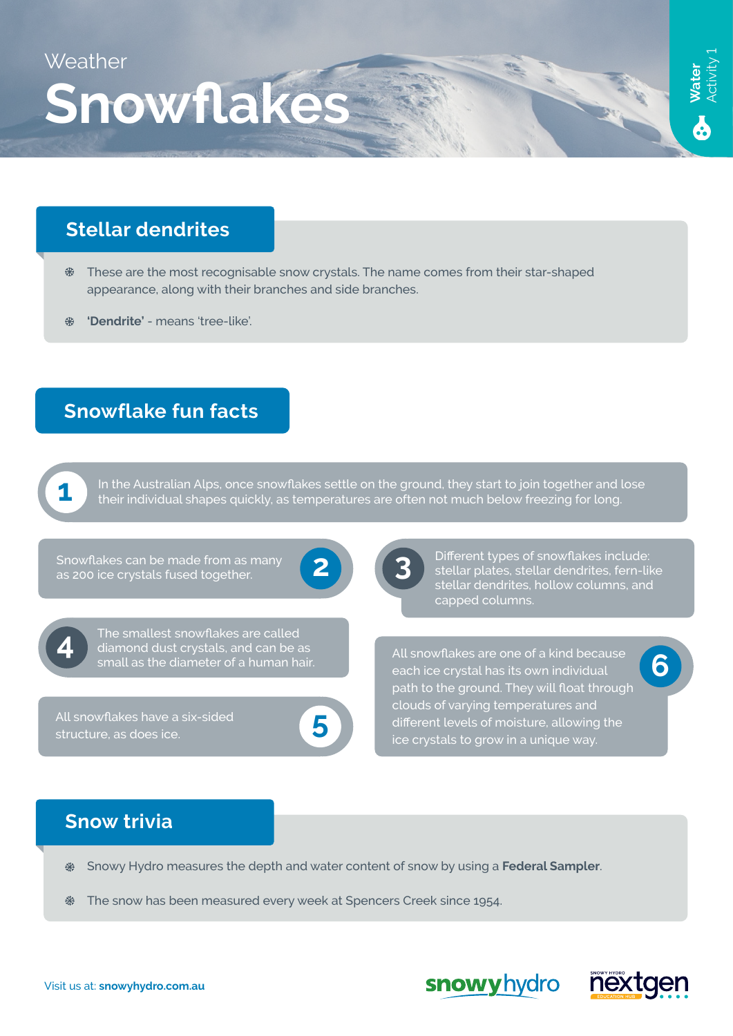

## **Stellar dendrites**

- These are the most recognisable snow crystals. The name comes from their star-shaped appearance, along with their branches and side branches.
- **'Dendrite'** means 'tree-like'.

### **Snowflake fun facts**



In the Australian Alps, once snowflakes settle on the ground, they start to join together and lose their individual shapes quickly, as temperatures are often not much below freezing for long.



**4** The smallest snowflakes are called<br>diamond dust crystals, and can be as small as the diameter of a human hair.

**5** All snowflakes have a six-sided structure, as does ice.

**2** Snowflakes can be made from as many as 200 ice crystals fused together. **3** Different types of snowflakes include: stellar plates, stellar dendrites, fern-like stellar dendrites, hollow columns, and capped columns.

> **6** All snowflakes are one of a kind because each ice crystal has its own individual path to the ground. They will float through clouds of varying temperatures and different levels of moisture, allowing the ice crystals to grow in a unique way.

#### **Snow trivia**

- Snowy Hydro measures the depth and water content of snow by using a **Federal Sampler**. ₩
- 44 The snow has been measured every week at Spencers Creek since 1954.